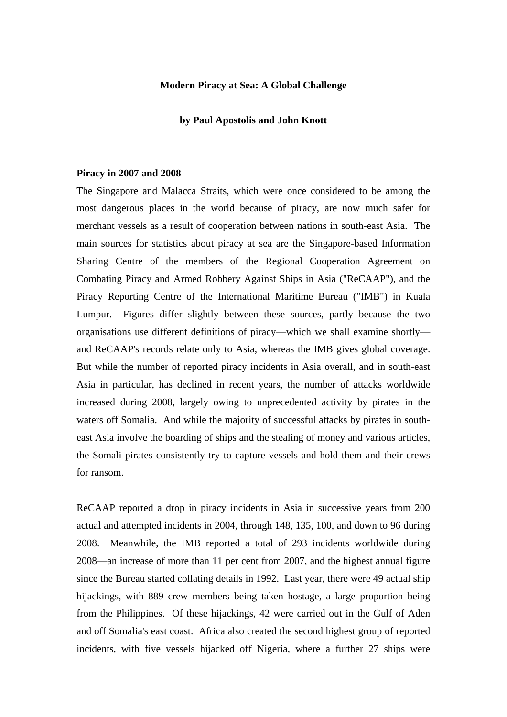# **Modern Piracy at Sea: A Global Challenge**

#### **by Paul Apostolis and John Knott**

### **Piracy in 2007 and 2008**

The Singapore and Malacca Straits, which were once considered to be among the most dangerous places in the world because of piracy, are now much safer for merchant vessels as a result of cooperation between nations in south-east Asia. The main sources for statistics about piracy at sea are the Singapore-based Information Sharing Centre of the members of the Regional Cooperation Agreement on Combating Piracy and Armed Robbery Against Ships in Asia ("ReCAAP"), and the Piracy Reporting Centre of the International Maritime Bureau ("IMB") in Kuala Lumpur. Figures differ slightly between these sources, partly because the two organisations use different definitions of piracy—which we shall examine shortly and ReCAAP's records relate only to Asia, whereas the IMB gives global coverage. But while the number of reported piracy incidents in Asia overall, and in south-east Asia in particular, has declined in recent years, the number of attacks worldwide increased during 2008, largely owing to unprecedented activity by pirates in the waters off Somalia. And while the majority of successful attacks by pirates in southeast Asia involve the boarding of ships and the stealing of money and various articles, the Somali pirates consistently try to capture vessels and hold them and their crews for ransom.

ReCAAP reported a drop in piracy incidents in Asia in successive years from 200 actual and attempted incidents in 2004, through 148, 135, 100, and down to 96 during 2008. Meanwhile, the IMB reported a total of 293 incidents worldwide during 2008—an increase of more than 11 per cent from 2007, and the highest annual figure since the Bureau started collating details in 1992. Last year, there were 49 actual ship hijackings, with 889 crew members being taken hostage, a large proportion being from the Philippines. Of these hijackings, 42 were carried out in the Gulf of Aden and off Somalia's east coast. Africa also created the second highest group of reported incidents, with five vessels hijacked off Nigeria, where a further 27 ships were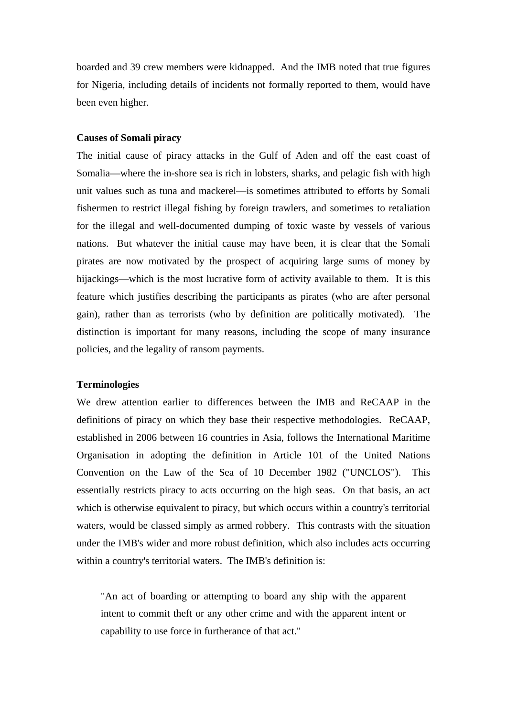boarded and 39 crew members were kidnapped. And the IMB noted that true figures for Nigeria, including details of incidents not formally reported to them, would have been even higher.

# **Causes of Somali piracy**

The initial cause of piracy attacks in the Gulf of Aden and off the east coast of Somalia—where the in-shore sea is rich in lobsters, sharks, and pelagic fish with high unit values such as tuna and mackerel—is sometimes attributed to efforts by Somali fishermen to restrict illegal fishing by foreign trawlers, and sometimes to retaliation for the illegal and well-documented dumping of toxic waste by vessels of various nations. But whatever the initial cause may have been, it is clear that the Somali pirates are now motivated by the prospect of acquiring large sums of money by hijackings—which is the most lucrative form of activity available to them. It is this feature which justifies describing the participants as pirates (who are after personal gain), rather than as terrorists (who by definition are politically motivated). The distinction is important for many reasons, including the scope of many insurance policies, and the legality of ransom payments.

### **Terminologies**

We drew attention earlier to differences between the IMB and ReCAAP in the definitions of piracy on which they base their respective methodologies. ReCAAP, established in 2006 between 16 countries in Asia, follows the International Maritime Organisation in adopting the definition in Article 101 of the United Nations Convention on the Law of the Sea of 10 December 1982 ("UNCLOS"). This essentially restricts piracy to acts occurring on the high seas. On that basis, an act which is otherwise equivalent to piracy, but which occurs within a country's territorial waters, would be classed simply as armed robbery. This contrasts with the situation under the IMB's wider and more robust definition, which also includes acts occurring within a country's territorial waters. The IMB's definition is:

"An act of boarding or attempting to board any ship with the apparent intent to commit theft or any other crime and with the apparent intent or capability to use force in furtherance of that act."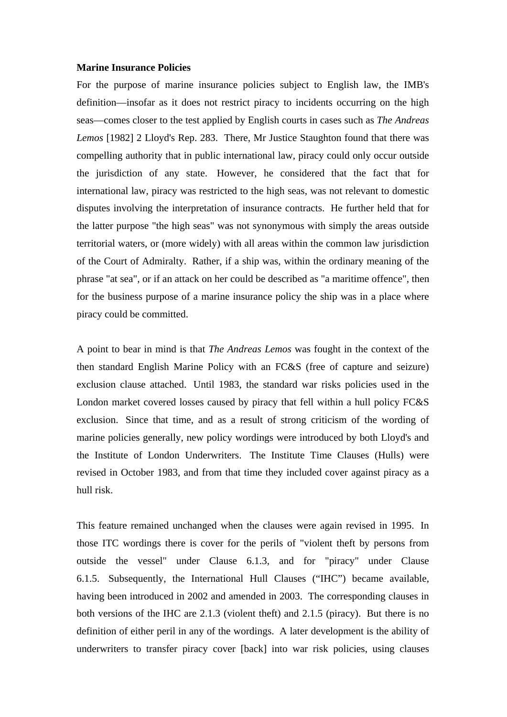#### **Marine Insurance Policies**

For the purpose of marine insurance policies subject to English law, the IMB's definition—insofar as it does not restrict piracy to incidents occurring on the high seas—comes closer to the test applied by English courts in cases such as *The Andreas Lemos* [1982] 2 Lloyd's Rep. 283. There, Mr Justice Staughton found that there was compelling authority that in public international law, piracy could only occur outside the jurisdiction of any state. However, he considered that the fact that for international law, piracy was restricted to the high seas, was not relevant to domestic disputes involving the interpretation of insurance contracts. He further held that for the latter purpose "the high seas" was not synonymous with simply the areas outside territorial waters, or (more widely) with all areas within the common law jurisdiction of the Court of Admiralty. Rather, if a ship was, within the ordinary meaning of the phrase "at sea", or if an attack on her could be described as "a maritime offence", then for the business purpose of a marine insurance policy the ship was in a place where piracy could be committed.

A point to bear in mind is that *The Andreas Lemos* was fought in the context of the then standard English Marine Policy with an FC&S (free of capture and seizure) exclusion clause attached. Until 1983, the standard war risks policies used in the London market covered losses caused by piracy that fell within a hull policy FC&S exclusion. Since that time, and as a result of strong criticism of the wording of marine policies generally, new policy wordings were introduced by both Lloyd's and the Institute of London Underwriters. The Institute Time Clauses (Hulls) were revised in October 1983, and from that time they included cover against piracy as a hull risk.

This feature remained unchanged when the clauses were again revised in 1995. In those ITC wordings there is cover for the perils of "violent theft by persons from outside the vessel" under Clause 6.1.3, and for "piracy" under Clause 6.1.5. Subsequently, the International Hull Clauses ("IHC") became available, having been introduced in 2002 and amended in 2003. The corresponding clauses in both versions of the IHC are 2.1.3 (violent theft) and 2.1.5 (piracy). But there is no definition of either peril in any of the wordings. A later development is the ability of underwriters to transfer piracy cover [back] into war risk policies, using clauses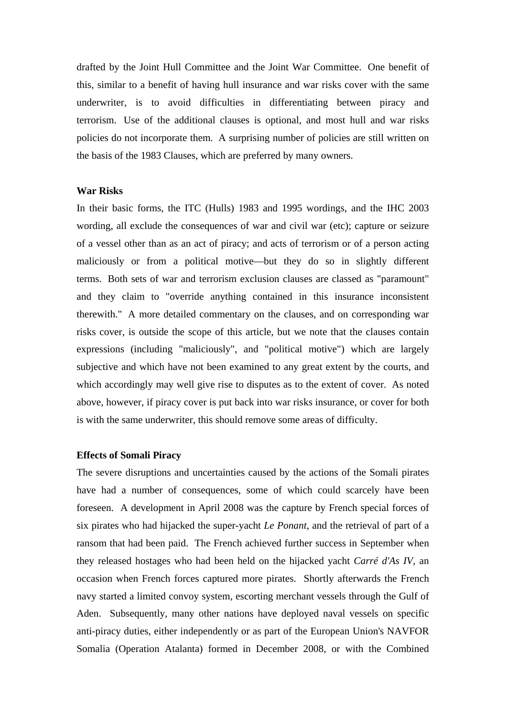drafted by the Joint Hull Committee and the Joint War Committee. One benefit of this, similar to a benefit of having hull insurance and war risks cover with the same underwriter, is to avoid difficulties in differentiating between piracy and terrorism. Use of the additional clauses is optional, and most hull and war risks policies do not incorporate them. A surprising number of policies are still written on the basis of the 1983 Clauses, which are preferred by many owners.

## **War Risks**

In their basic forms, the ITC (Hulls) 1983 and 1995 wordings, and the IHC 2003 wording, all exclude the consequences of war and civil war (etc); capture or seizure of a vessel other than as an act of piracy; and acts of terrorism or of a person acting maliciously or from a political motive—but they do so in slightly different terms. Both sets of war and terrorism exclusion clauses are classed as "paramount" and they claim to "override anything contained in this insurance inconsistent therewith." A more detailed commentary on the clauses, and on corresponding war risks cover, is outside the scope of this article, but we note that the clauses contain expressions (including "maliciously", and "political motive") which are largely subjective and which have not been examined to any great extent by the courts, and which accordingly may well give rise to disputes as to the extent of cover. As noted above, however, if piracy cover is put back into war risks insurance, or cover for both is with the same underwriter, this should remove some areas of difficulty.

### **Effects of Somali Piracy**

The severe disruptions and uncertainties caused by the actions of the Somali pirates have had a number of consequences, some of which could scarcely have been foreseen. A development in April 2008 was the capture by French special forces of six pirates who had hijacked the super-yacht *Le Ponant*, and the retrieval of part of a ransom that had been paid. The French achieved further success in September when they released hostages who had been held on the hijacked yacht *Carré d'As IV,* an occasion when French forces captured more pirates. Shortly afterwards the French navy started a limited convoy system, escorting merchant vessels through the Gulf of Aden. Subsequently, many other nations have deployed naval vessels on specific anti-piracy duties, either independently or as part of the European Union's NAVFOR Somalia (Operation Atalanta) formed in December 2008, or with the Combined